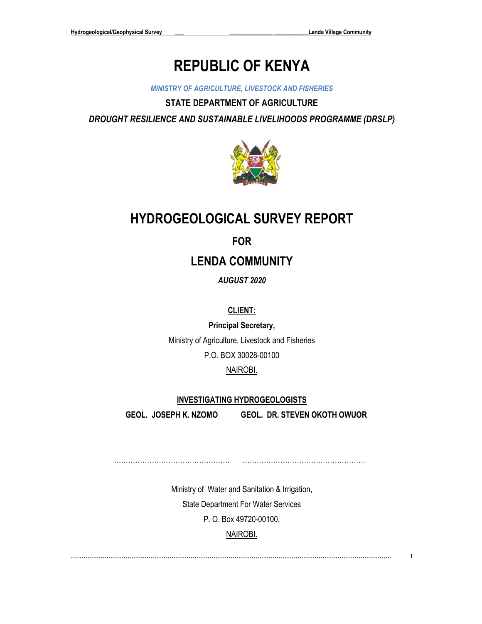# **REPUBLIC OF KENYA**

*MINISTRY OF AGRICULTURE, LIVESTOCK AND FISHERIES*

**STATE DEPARTMENT OF AGRICULTURE** *DROUGHT RESILIENCE AND SUSTAINABLE LIVELIHOODS PROGRAMME (DRSLP)*



## **HYDROGEOLOGICAL SURVEY REPORT**

**FOR**

**LENDA COMMUNITY**

*AUGUST 2020*

**CLIENT:**

**Principal Secretary,** Ministry of Agriculture, Livestock and Fisheries P.O. BOX 30028-00100

### NAIROBI.

#### **INVESTIGATING HYDROGEOLOGISTS**

**GEOL. JOSEPH K. NZOMO**

**GEOL. DR. STEVEN OKOTH OWUOR**

…………………………………………. …………………………………………….

> Ministry of Water and Sanitation & Irrigation, State Department For Water Services P. O. Box 49720-00100, NAIROBI.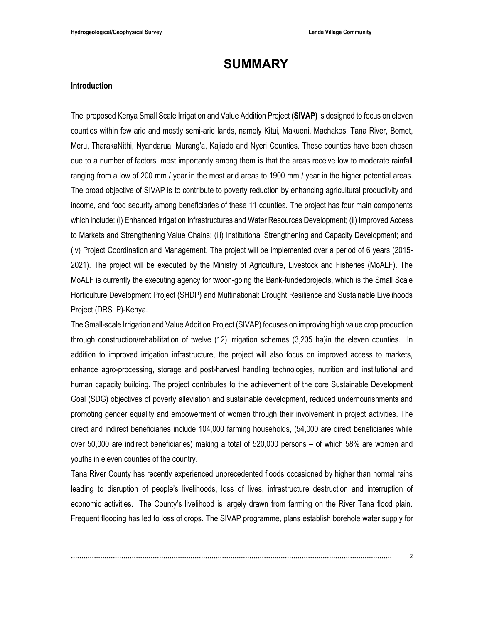### <span id="page-1-0"></span>**SUMMARY**

#### **Introduction**

The proposed Kenya Small Scale Irrigation and Value Addition Project **(SIVAP)** is designed to focus on eleven counties within few arid and mostly semi-arid lands, namely Kitui, Makueni, Machakos, Tana River, Bomet, Meru, TharakaNithi, Nyandarua, Murang'a, Kajiado and Nyeri Counties. These counties have been chosen due to a number of factors, most importantly among them is that the areas receive low to moderate rainfall ranging from a low of 200 mm / year in the most arid areas to 1900 mm / year in the higher potential areas. The broad objective of SIVAP is to contribute to poverty reduction by enhancing agricultural productivity and income, and food security among beneficiaries of these 11 counties. The project has four main components which include: (i) Enhanced Irrigation Infrastructures and Water Resources Development; (ii) Improved Access to Markets and Strengthening Value Chains; (iii) Institutional Strengthening and Capacity Development; and (iv) Project Coordination and Management. The project will be implemented over a period of 6 years (2015- 2021). The project will be executed by the Ministry of Agriculture, Livestock and Fisheries (MoALF). The MoALF is currently the executing agency for twoon-going the Bank-fundedprojects, which is the Small Scale Horticulture Development Project (SHDP) and Multinational: Drought Resilience and Sustainable Livelihoods Project (DRSLP)-Kenya.

The Small-scale Irrigation and Value Addition Project (SIVAP) focuses on improving high value crop production through construction/rehabilitation of twelve (12) irrigation schemes (3,205 ha)in the eleven counties. In addition to improved irrigation infrastructure, the project will also focus on improved access to markets, enhance agro-processing, storage and post-harvest handling technologies, nutrition and institutional and human capacity building. The project contributes to the achievement of the core Sustainable Development Goal (SDG) objectives of poverty alleviation and sustainable development, reduced undernourishments and promoting gender equality and empowerment of women through their involvement in project activities. The direct and indirect beneficiaries include 104,000 farming households, (54,000 are direct beneficiaries while over 50,000 are indirect beneficiaries) making a total of 520,000 persons – of which 58% are women and youths in eleven counties of the country.

Tana River County has recently experienced unprecedented floods occasioned by higher than normal rains leading to disruption of people's livelihoods, loss of lives, infrastructure destruction and interruption of economic activities. The County's livelihood is largely drawn from farming on the River Tana flood plain. Frequent flooding has led to loss of crops. The SIVAP programme, plans establish borehole water supply for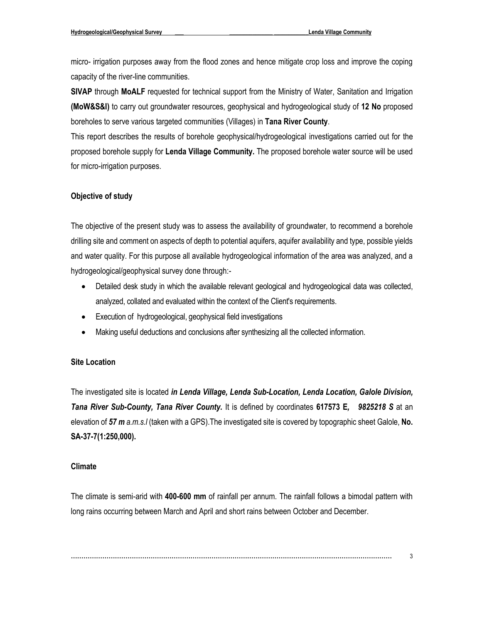micro- irrigation purposes away from the flood zones and hence mitigate crop loss and improve the coping capacity of the river-line communities.

**SIVAP** through **MoALF** requested for technical support from the Ministry of Water, Sanitation and Irrigation **(MoW&S&I)** to carry out groundwater resources, geophysical and hydrogeological study of **12 No** proposed boreholes to serve various targeted communities (Villages) in **Tana River County**.

This report describes the results of borehole geophysical/hydrogeological investigations carried out for the proposed borehole supply for **Lenda Village Community.** The proposed borehole water source will be used for micro-irrigation purposes.

#### **Objective of study**

The objective of the present study was to assess the availability of groundwater, to recommend a borehole drilling site and comment on aspects of depth to potential aquifers, aquifer availability and type, possible yields and water quality. For this purpose all available hydrogeological information of the area was analyzed, and a hydrogeological/geophysical survey done through:-

- Detailed desk study in which the available relevant geological and hydrogeological data was collected, analyzed, collated and evaluated within the context of the Client's requirements.
- Execution of hydrogeological, geophysical field investigations
- Making useful deductions and conclusions after synthesizing all the collected information.

#### **Site Location**

The investigated site is located *in Lenda Village, Lenda Sub-Location, Lenda Location, Galole Division, Tana River Sub-County, Tana River County.* It is defined by coordinates **617573 E***, 9825218 S* at an elevation of *57 m a.m.s.l* (taken with a GPS).The investigated site is covered by topographic sheet Galole, **No. SA-37-7(1:250,000).**

#### **Climate**

The climate is semi-arid with **400-600 mm** of rainfall per annum. The rainfall follows a bimodal pattern with long rains occurring between March and April and short rains between October and December.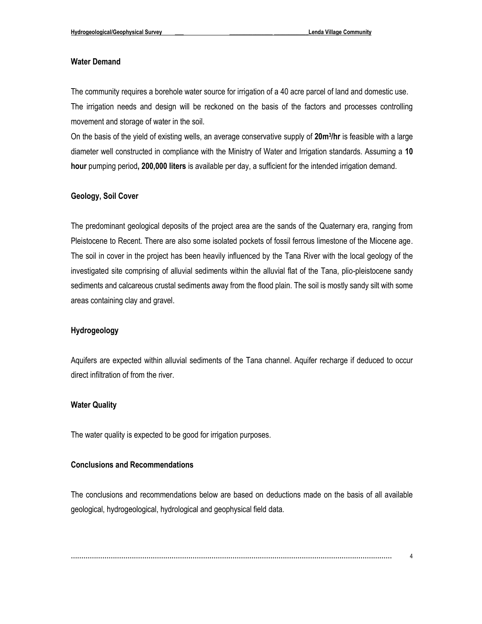#### **Water Demand**

The community requires a borehole water source for irrigation of a 40 acre parcel of land and domestic use. The irrigation needs and design will be reckoned on the basis of the factors and processes controlling movement and storage of water in the soil.

On the basis of the yield of existing wells, an average conservative supply of **20m<sup>3</sup> /hr** is feasible with a large diameter well constructed in compliance with the Ministry of Water and Irrigation standards. Assuming a **10 hour** pumping period**, 200,000 liters** is available per day, a sufficient for the intended irrigation demand.

#### **Geology, Soil Cover**

The predominant geological deposits of the project area are the sands of the Quaternary era, ranging from Pleistocene to Recent. There are also some isolated pockets of fossil ferrous limestone of the Miocene age. The soil in cover in the project has been heavily influenced by the Tana River with the local geology of the investigated site comprising of alluvial sediments within the alluvial flat of the Tana, plio-pleistocene sandy sediments and calcareous crustal sediments away from the flood plain. The soil is mostly sandy silt with some areas containing clay and gravel.

#### **Hydrogeology**

Aquifers are expected within alluvial sediments of the Tana channel. Aquifer recharge if deduced to occur direct infiltration of from the river.

#### **Water Quality**

The water quality is expected to be good for irrigation purposes.

#### **Conclusions and Recommendations**

The conclusions and recommendations below are based on deductions made on the basis of all available geological, hydrogeological, hydrological and geophysical field data.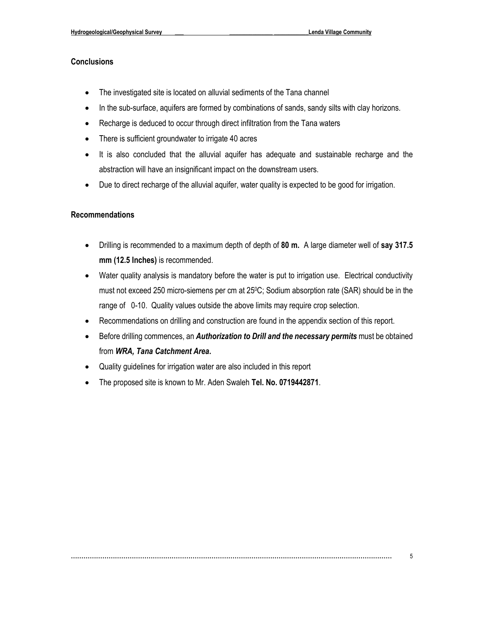#### **Conclusions**

- The investigated site is located on alluvial sediments of the Tana channel
- In the sub-surface, aquifers are formed by combinations of sands, sandy silts with clay horizons.
- Recharge is deduced to occur through direct infiltration from the Tana waters
- There is sufficient groundwater to irrigate 40 acres
- It is also concluded that the alluvial aquifer has adequate and sustainable recharge and the abstraction will have an insignificant impact on the downstream users.
- Due to direct recharge of the alluvial aquifer, water quality is expected to be good for irrigation.

#### **Recommendations**

- Drilling is recommended to a maximum depth of depth of **80 m.** A large diameter well of **say 317.5 mm (12.5 Inches)** is recommended.
- Water quality analysis is mandatory before the water is put to irrigation use. Electrical conductivity must not exceed 250 micro-siemens per cm at 250C; Sodium absorption rate (SAR) should be in the range of 0-10. Quality values outside the above limits may require crop selection.
- Recommendations on drilling and construction are found in the appendix section of this report.
- Before drilling commences, an *Authorization to Drill and the necessary permits* must be obtained from *WRA, Tana Catchment Area***.**
- Quality guidelines for irrigation water are also included in this report
- The proposed site is known to Mr. Aden Swaleh **Tel. No. 0719442871**.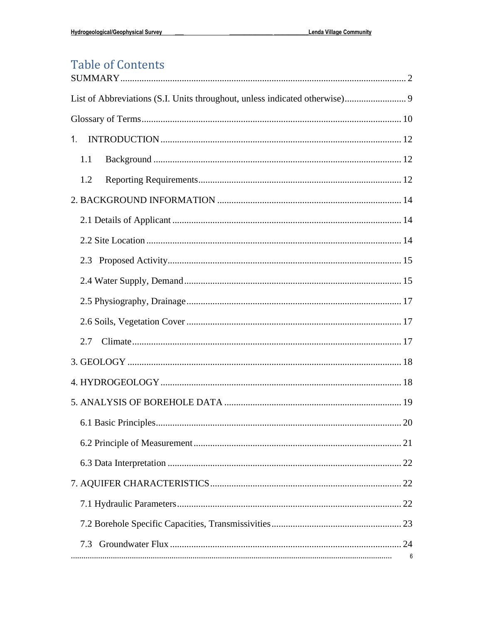### **Table of Contents**  $\frac{1}{2} \sum_{i=1}^{n} \sum_{j=1}^{n} \sum_{j=1}^{n} \sum_{j=1}^{n} \sum_{j=1}^{n} \sum_{j=1}^{n} \sum_{j=1}^{n} \sum_{j=1}^{n} \sum_{j=1}^{n} \sum_{j=1}^{n} \sum_{j=1}^{n} \sum_{j=1}^{n} \sum_{j=1}^{n} \sum_{j=1}^{n} \sum_{j=1}^{n} \sum_{j=1}^{n} \sum_{j=1}^{n} \sum_{j=1}^{n} \sum_{j=1}^{n} \sum_{j=1}^{n} \sum_{j=1}^{n} \sum_{$

| $1_{\cdot}$ |  |
|-------------|--|
| 1.1         |  |
| 1.2         |  |
|             |  |
|             |  |
|             |  |
|             |  |
|             |  |
|             |  |
|             |  |
| 2.7         |  |
|             |  |
|             |  |
|             |  |
|             |  |
|             |  |
|             |  |
|             |  |
|             |  |
|             |  |
| 7.3         |  |
|             |  |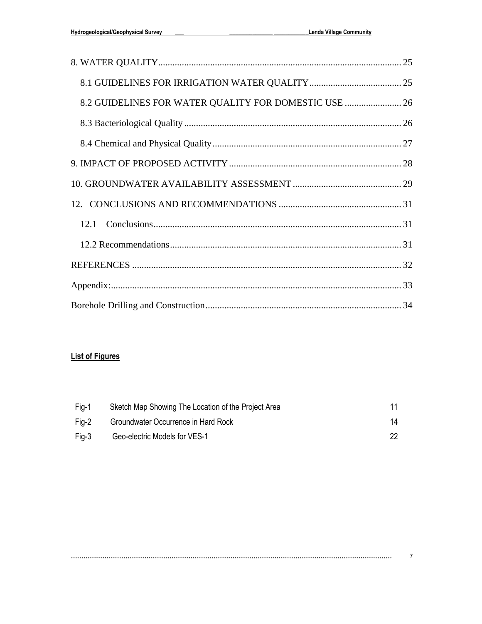| 8.2 GUIDELINES FOR WATER QUALITY FOR DOMESTIC USE  26 |  |
|-------------------------------------------------------|--|
|                                                       |  |
|                                                       |  |
|                                                       |  |
|                                                       |  |
|                                                       |  |
|                                                       |  |
|                                                       |  |
|                                                       |  |
|                                                       |  |
|                                                       |  |

### **List of Figures**

| Fig-1 | Sketch Map Showing The Location of the Project Area |     |
|-------|-----------------------------------------------------|-----|
| Fig-2 | Groundwater Occurrence in Hard Rock                 | 14  |
| Fig-3 | Geo-electric Models for VES-1                       | 22. |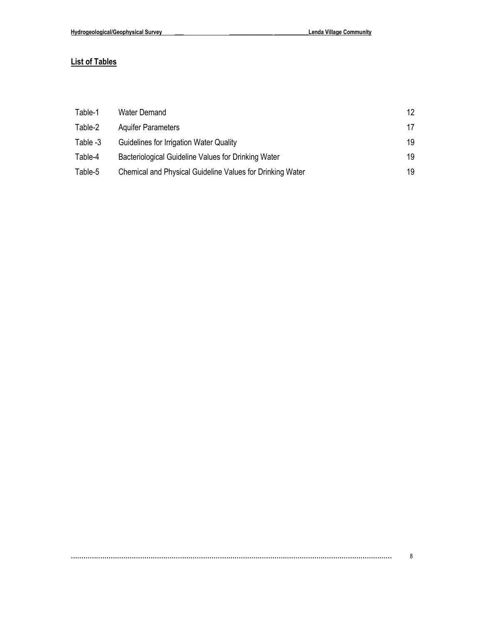### **List of Tables**

| Table-1  | Water Demand                                              | 12 |
|----------|-----------------------------------------------------------|----|
| Table-2  | <b>Aguifer Parameters</b>                                 | 17 |
| Table -3 | Guidelines for Irrigation Water Quality                   | 19 |
| Table-4  | Bacteriological Guideline Values for Drinking Water       | 19 |
| Table-5  | Chemical and Physical Guideline Values for Drinking Water | 19 |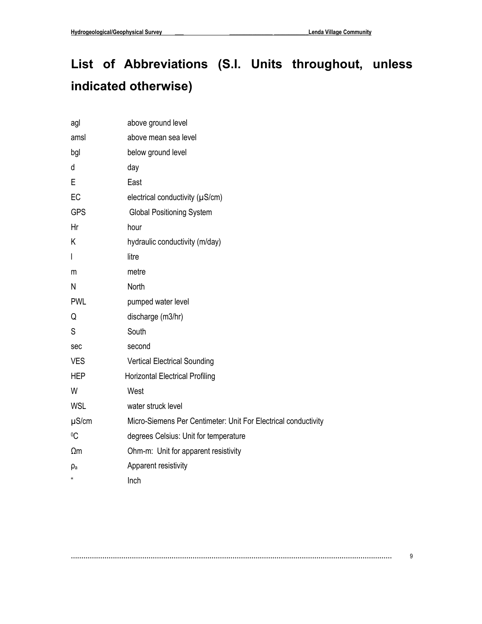# <span id="page-8-0"></span>**List of Abbreviations (S.I. Units throughout, unless indicated otherwise)**

| agl          | above ground level                                             |
|--------------|----------------------------------------------------------------|
| amsl         | above mean sea level                                           |
| bgl          | below ground level                                             |
| d            | day                                                            |
| E            | East                                                           |
| EC           | electrical conductivity (µS/cm)                                |
| <b>GPS</b>   | <b>Global Positioning System</b>                               |
| Hr           | hour                                                           |
| Κ            | hydraulic conductivity (m/day)                                 |
| I            | litre                                                          |
| m            | metre                                                          |
| Ν            | North                                                          |
| <b>PWL</b>   | pumped water level                                             |
| Q            | discharge (m3/hr)                                              |
| S            | South                                                          |
| sec          | second                                                         |
| <b>VES</b>   | <b>Vertical Electrical Sounding</b>                            |
| <b>HEP</b>   | <b>Horizontal Electrical Profiling</b>                         |
| W            | West                                                           |
| WSL          | water struck level                                             |
| $\mu$ S/cm   | Micro-Siemens Per Centimeter: Unit For Electrical conductivity |
| °C           | degrees Celsius: Unit for temperature                          |
| $\Omega$ m   | Ohm-m: Unit for apparent resistivity                           |
| ρa           | Apparent resistivity                                           |
| $\mathbf{u}$ | Inch                                                           |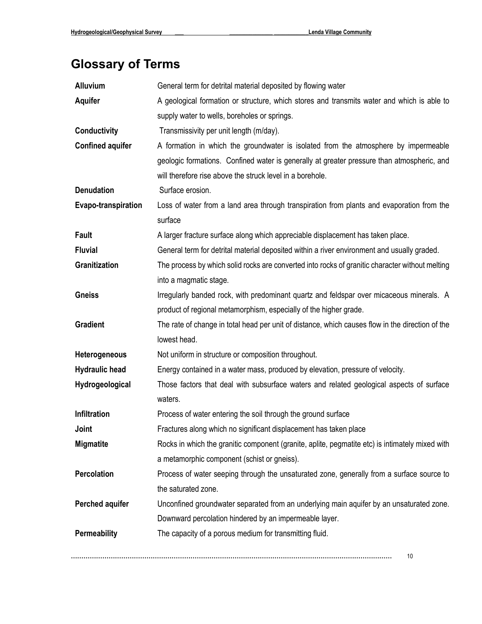# <span id="page-9-0"></span>**Glossary of Terms**

| <b>Alluvium</b>         | General term for detrital material deposited by flowing water                                    |
|-------------------------|--------------------------------------------------------------------------------------------------|
| <b>Aquifer</b>          | A geological formation or structure, which stores and transmits water and which is able to       |
|                         | supply water to wells, boreholes or springs.                                                     |
| <b>Conductivity</b>     | Transmissivity per unit length (m/day).                                                          |
| <b>Confined aquifer</b> | A formation in which the groundwater is isolated from the atmosphere by impermeable              |
|                         | geologic formations. Confined water is generally at greater pressure than atmospheric, and       |
|                         | will therefore rise above the struck level in a borehole.                                        |
| <b>Denudation</b>       | Surface erosion.                                                                                 |
| Evapo-transpiration     | Loss of water from a land area through transpiration from plants and evaporation from the        |
|                         | surface                                                                                          |
| <b>Fault</b>            | A larger fracture surface along which appreciable displacement has taken place.                  |
| <b>Fluvial</b>          | General term for detrital material deposited within a river environment and usually graded.      |
| Granitization           | The process by which solid rocks are converted into rocks of granitic character without melting  |
|                         | into a magmatic stage.                                                                           |
| <b>Gneiss</b>           | Irregularly banded rock, with predominant quartz and feldspar over micaceous minerals. A         |
|                         | product of regional metamorphism, especially of the higher grade.                                |
| <b>Gradient</b>         | The rate of change in total head per unit of distance, which causes flow in the direction of the |
|                         | lowest head.                                                                                     |
| Heterogeneous           | Not uniform in structure or composition throughout.                                              |
| <b>Hydraulic head</b>   | Energy contained in a water mass, produced by elevation, pressure of velocity.                   |
| Hydrogeological         | Those factors that deal with subsurface waters and related geological aspects of surface         |
|                         | waters.                                                                                          |
| Infiltration            | Process of water entering the soil through the ground surface                                    |
| Joint                   | Fractures along which no significant displacement has taken place                                |
| <b>Migmatite</b>        | Rocks in which the granitic component (granite, aplite, pegmatite etc) is intimately mixed with  |
|                         | a metamorphic component (schist or gneiss).                                                      |
| Percolation             | Process of water seeping through the unsaturated zone, generally from a surface source to        |
|                         | the saturated zone.                                                                              |
| <b>Perched aquifer</b>  | Unconfined groundwater separated from an underlying main aquifer by an unsaturated zone.         |
|                         | Downward percolation hindered by an impermeable layer.                                           |
| <b>Permeability</b>     | The capacity of a porous medium for transmitting fluid.                                          |
|                         | 10                                                                                               |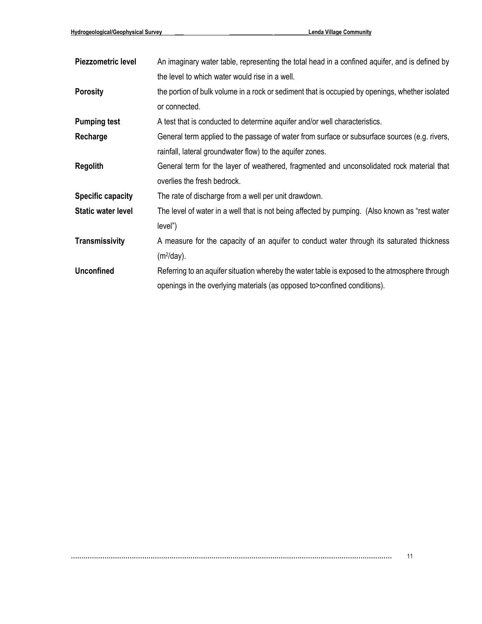| <b>Piezzometric level</b> | An imaginary water table, representing the total head in a confined aquifer, and is defined by  |
|---------------------------|-------------------------------------------------------------------------------------------------|
|                           | the level to which water would rise in a well.                                                  |
| <b>Porosity</b>           | the portion of bulk volume in a rock or sediment that is occupied by openings, whether isolated |
|                           | or connected.                                                                                   |
| <b>Pumping test</b>       | A test that is conducted to determine aquifer and/or well characteristics.                      |
| Recharge                  | General term applied to the passage of water from surface or subsurface sources (e.g. rivers,   |
|                           | rainfall, lateral groundwater flow) to the aquifer zones.                                       |
| <b>Regolith</b>           | General term for the layer of weathered, fragmented and unconsolidated rock material that       |
|                           | overlies the fresh bedrock.                                                                     |
| <b>Specific capacity</b>  | The rate of discharge from a well per unit drawdown.                                            |
| <b>Static water level</b> | The level of water in a well that is not being affected by pumping. (Also known as "rest water  |
|                           | level")                                                                                         |
| <b>Transmissivity</b>     | A measure for the capacity of an aquifer to conduct water through its saturated thickness       |
|                           | $(m2/day)$ .                                                                                    |
| <b>Unconfined</b>         | Referring to an aquifer situation whereby the water table is exposed to the atmosphere through  |
|                           | openings in the overlying materials (as opposed to > confined conditions).                      |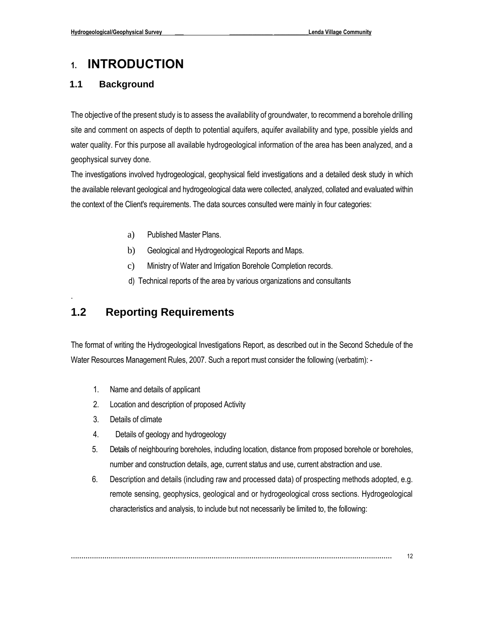## <span id="page-11-0"></span>**1. INTRODUCTION**

### <span id="page-11-1"></span>**1.1 Background**

The objective of the present study is to assess the availability of groundwater, to recommend a borehole drilling site and comment on aspects of depth to potential aquifers, aquifer availability and type, possible yields and water quality. For this purpose all available hydrogeological information of the area has been analyzed, and a geophysical survey done.

The investigations involved hydrogeological, geophysical field investigations and a detailed desk study in which the available relevant geological and hydrogeological data were collected, analyzed, collated and evaluated within the context of the Client's requirements. The data sources consulted were mainly in four categories:

- a) Published Master Plans.
- b) Geological and Hydrogeological Reports and Maps.
- c) Ministry of Water and Irrigation Borehole Completion records.
- d) Technical reports of the area by various organizations and consultants

### <span id="page-11-2"></span>**1.2 Reporting Requirements**

The format of writing the Hydrogeological Investigations Report, as described out in the Second Schedule of the Water Resources Management Rules, 2007. Such a report must consider the following (verbatim): -

- 1. Name and details of applicant
- 2. Location and description of proposed Activity
- 3. Details of climate

.

- 4. Details of geology and hydrogeology
- 5. Details of neighbouring boreholes, including location, distance from proposed borehole or boreholes, number and construction details, age, current status and use, current abstraction and use.
- 6. Description and details (including raw and processed data) of prospecting methods adopted, e.g. remote sensing, geophysics, geological and or hydrogeological cross sections. Hydrogeological characteristics and analysis, to include but not necessarily be limited to, the following: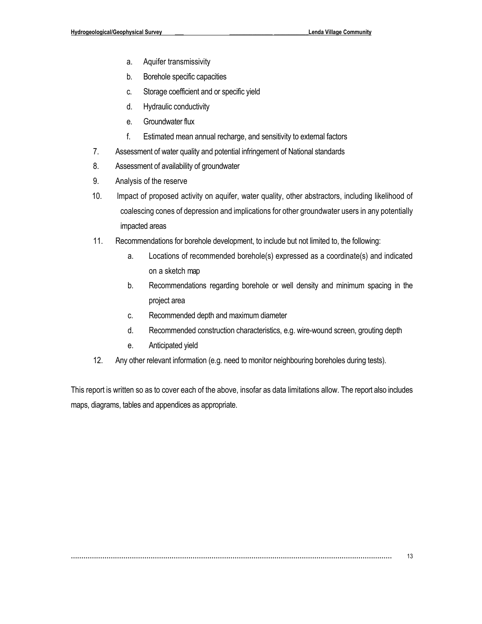- a. Aquifer transmissivity
- b. Borehole specific capacities
- c. Storage coefficient and or specific yield
- d. Hydraulic conductivity
- e. Groundwater flux
- f. Estimated mean annual recharge, and sensitivity to external factors
- 7. Assessment of water quality and potential infringement of National standards
- 8. Assessment of availability of groundwater
- 9. Analysis of the reserve
- 10. Impact of proposed activity on aquifer, water quality, other abstractors, including likelihood of coalescing cones of depression and implications for other groundwater users in any potentially impacted areas
- 11. Recommendations for borehole development, to include but not limited to, the following:
	- a. Locations of recommended borehole(s) expressed as a coordinate(s) and indicated on a sketch map
	- b. Recommendations regarding borehole or well density and minimum spacing in the project area
	- c. Recommended depth and maximum diameter
	- d. Recommended construction characteristics, e.g. wire-wound screen, grouting depth
	- e. Anticipated yield
- 12. Any other relevant information (e.g. need to monitor neighbouring boreholes during tests).

This report is written so as to cover each of the above, insofar as data limitations allow. The report also includes maps, diagrams, tables and appendices as appropriate.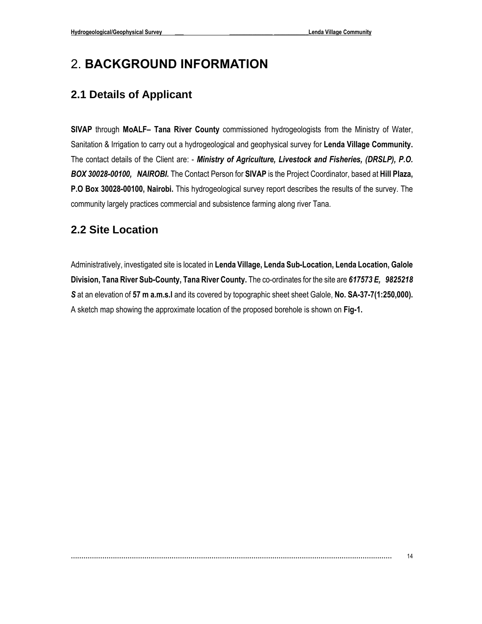## <span id="page-13-0"></span>2. **BACKGROUND INFORMATION**

### <span id="page-13-1"></span>**2.1 Details of Applicant**

**SIVAP** through **MoALF– Tana River County** commissioned hydrogeologists from the Ministry of Water, Sanitation & Irrigation to carry out a hydrogeological and geophysical survey for **Lenda Village Community.**  The contact details of the Client are: - *Ministry of Agriculture, Livestock and Fisheries, (DRSLP), P.O. BOX 30028-00100, NAIROBI.* The Contact Person for **SIVAP** is the Project Coordinator, based at **Hill Plaza, P.O Box 30028-00100, Nairobi.** This hydrogeological survey report describes the results of the survey. The community largely practices commercial and subsistence farming along river Tana.

### <span id="page-13-2"></span>**2.2 Site Location**

Administratively, investigated site is located in **Lenda Village, Lenda Sub-Location, Lenda Location, Galole Division, Tana River Sub-County, Tana River County.** The co-ordinates for the site are *617573 E, 9825218 S* at an elevation of **57 m a.m.s.l** and its covered by topographic sheet sheet Galole, **No. SA-37-7(1:250,000).** A sketch map showing the approximate location of the proposed borehole is shown on **Fig-1.**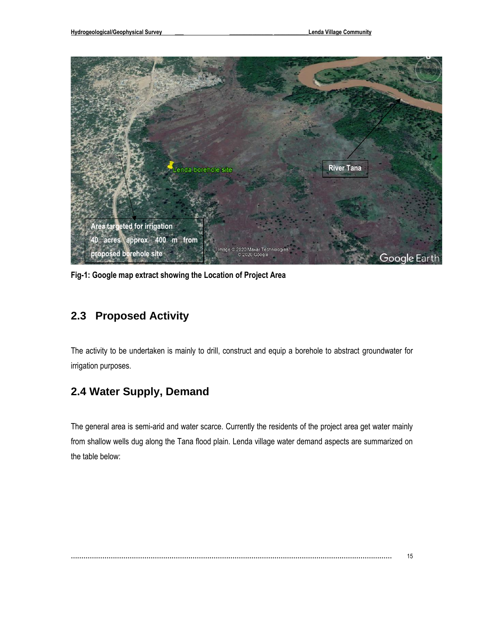

**Fig-1: Google map extract showing the Location of Project Area**

### <span id="page-14-0"></span>**2.3 Proposed Activity**

The activity to be undertaken is mainly to drill, construct and equip a borehole to abstract groundwater for irrigation purposes.

### <span id="page-14-1"></span>**2.4 Water Supply, Demand**

The general area is semi-arid and water scarce. Currently the residents of the project area get water mainly from shallow wells dug along the Tana flood plain. Lenda village water demand aspects are summarized on the table below: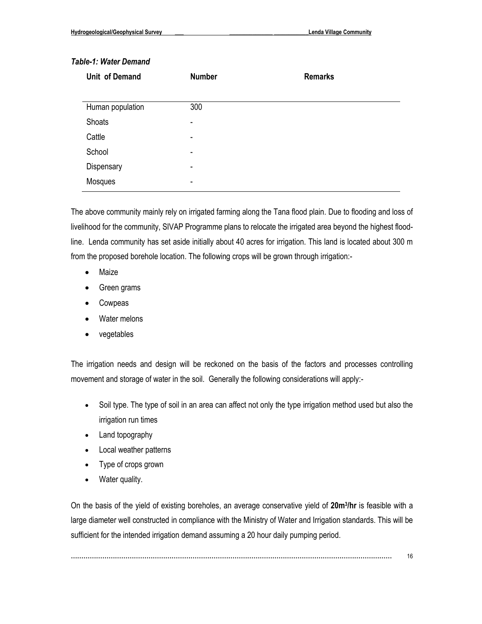#### *Table-1: Water Demand*

| Unit of Demand   | <b>Number</b> | <b>Remarks</b> |
|------------------|---------------|----------------|
|                  |               |                |
| Human population | 300           |                |
| Shoats           | ۰             |                |
| Cattle           | ۰             |                |
| School           | ۰             |                |
| Dispensary       | ۰             |                |
| Mosques          | ۰             |                |

The above community mainly rely on irrigated farming along the Tana flood plain. Due to flooding and loss of livelihood for the community, SIVAP Programme plans to relocate the irrigated area beyond the highest floodline. Lenda community has set aside initially about 40 acres for irrigation. This land is located about 300 m from the proposed borehole location. The following crops will be grown through irrigation:-

- Maize
- Green grams
- Cowpeas
- Water melons
- vegetables

The irrigation needs and design will be reckoned on the basis of the factors and processes controlling movement and storage of water in the soil. Generally the following considerations will apply:-

- Soil type. The type of soil in an area can affect not only the type irrigation method used but also the irrigation run times
- Land topography
- Local weather patterns
- Type of crops grown
- Water quality.

On the basis of the yield of existing boreholes, an average conservative yield of **20m<sup>3</sup> /hr** is feasible with a large diameter well constructed in compliance with the Ministry of Water and Irrigation standards. This will be sufficient for the intended irrigation demand assuming a 20 hour daily pumping period.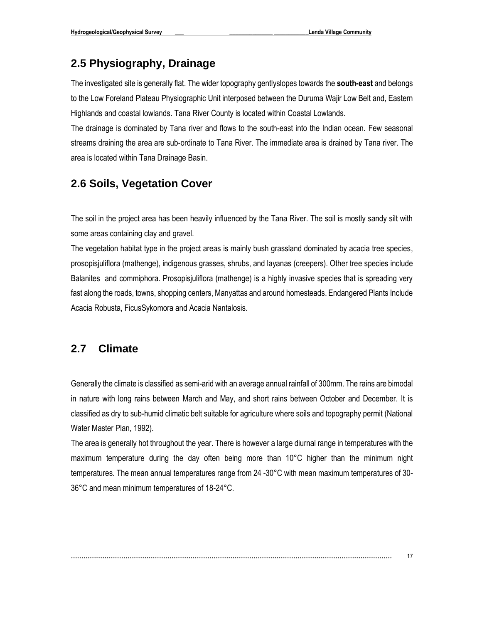### <span id="page-16-0"></span>**2.5 Physiography, Drainage**

The investigated site is generally flat. The wider topography gentlyslopes towards the **south-east** and belongs to the Low Foreland Plateau Physiographic Unit interposed between the Duruma Wajir Low Belt and, Eastern Highlands and coastal lowlands. Tana River County is located within Coastal Lowlands.

The drainage is dominated by Tana river and flows to the south-east into the Indian ocean**.** Few seasonal streams draining the area are sub-ordinate to Tana River. The immediate area is drained by Tana river. The area is located within Tana Drainage Basin.

### <span id="page-16-1"></span>**2.6 Soils, Vegetation Cover**

The soil in the project area has been heavily influenced by the Tana River. The soil is mostly sandy silt with some areas containing clay and gravel.

The vegetation habitat type in the project areas is mainly bush grassland dominated by acacia tree species, prosopisjuliflora (mathenge), indigenous grasses, shrubs, and layanas (creepers). Other tree species include Balanites and commiphora. Prosopisjuliflora (mathenge) is a highly invasive species that is spreading very fast along the roads, towns, shopping centers, Manyattas and around homesteads. Endangered Plants Include Acacia Robusta, FicusSykomora and Acacia Nantalosis.

### <span id="page-16-2"></span>**2.7 Climate**

Generally the climate is classified as semi-arid with an average annual rainfall of 300mm. The rains are bimodal in nature with long rains between March and May, and short rains between October and December. It is classified as dry to sub-humid climatic belt suitable for agriculture where soils and topography permit (National Water Master Plan, 1992).

The area is generally hot throughout the year. There is however a large diurnal range in temperatures with the maximum temperature during the day often being more than 10°C higher than the minimum night temperatures. The mean annual temperatures range from 24 -30°C with mean maximum temperatures of 30- 36°C and mean minimum temperatures of 18-24°C.

```
……………………………………………………………………………………………………………………………………… 17
```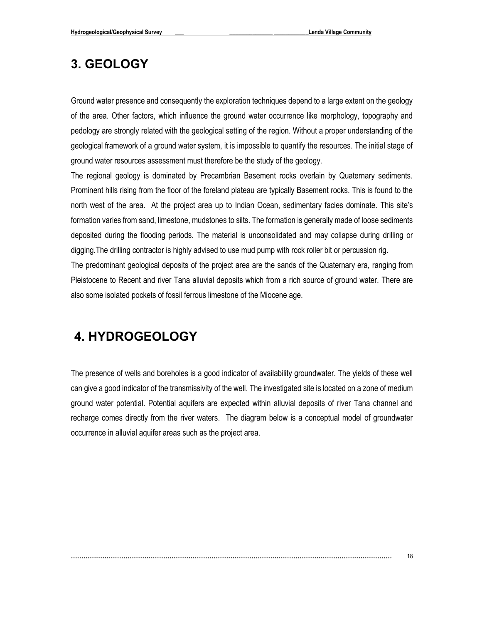## <span id="page-17-0"></span>**3. GEOLOGY**

Ground water presence and consequently the exploration techniques depend to a large extent on the geology of the area. Other factors, which influence the ground water occurrence like morphology, topography and pedology are strongly related with the geological setting of the region. Without a proper understanding of the geological framework of a ground water system, it is impossible to quantify the resources. The initial stage of ground water resources assessment must therefore be the study of the geology.

The regional geology is dominated by Precambrian Basement rocks overlain by Quaternary sediments. Prominent hills rising from the floor of the foreland plateau are typically Basement rocks. This is found to the north west of the area. At the project area up to Indian Ocean, sedimentary facies dominate. This site's formation varies from sand, limestone, mudstones to silts. The formation is generally made of loose sediments deposited during the flooding periods. The material is unconsolidated and may collapse during drilling or digging.The drilling contractor is highly advised to use mud pump with rock roller bit or percussion rig.

The predominant geological deposits of the project area are the sands of the Quaternary era, ranging from Pleistocene to Recent and river Tana alluvial deposits which from a rich source of ground water. There are also some isolated pockets of fossil ferrous limestone of the Miocene age.

## <span id="page-17-1"></span>**4. HYDROGEOLOGY**

The presence of wells and boreholes is a good indicator of availability groundwater. The yields of these well can give a good indicator of the transmissivity of the well. The investigated site is located on a zone of medium ground water potential. Potential aquifers are expected within alluvial deposits of river Tana channel and recharge comes directly from the river waters. The diagram below is a conceptual model of groundwater occurrence in alluvial aquifer areas such as the project area.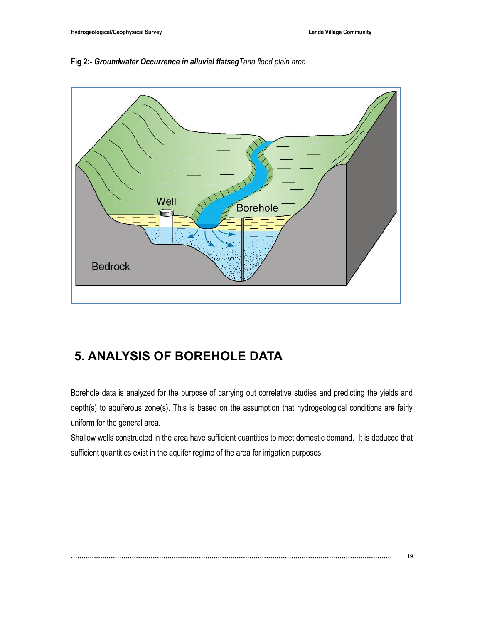



## <span id="page-18-0"></span>**5. ANALYSIS OF BOREHOLE DATA**

Borehole data is analyzed for the purpose of carrying out correlative studies and predicting the yields and depth(s) to aquiferous zone(s). This is based on the assumption that hydrogeological conditions are fairly uniform for the general area.

Shallow wells constructed in the area have sufficient quantities to meet domestic demand. It is deduced that sufficient quantities exist in the aquifer regime of the area for irrigation purposes.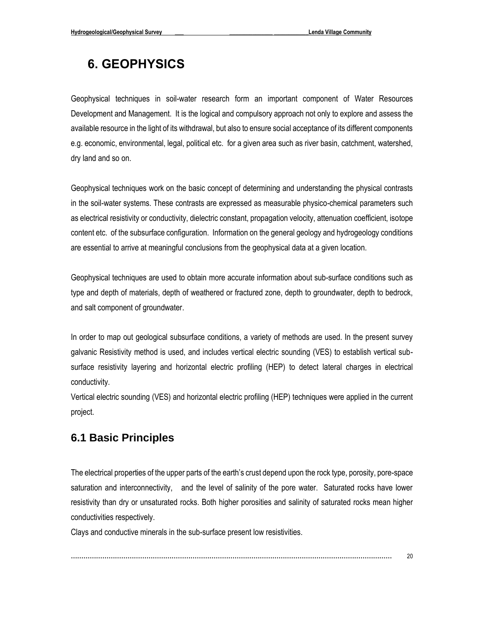## **6. GEOPHYSICS**

Geophysical techniques in soil-water research form an important component of Water Resources Development and Management. It is the logical and compulsory approach not only to explore and assess the available resource in the light of its withdrawal, but also to ensure social acceptance of its different components e.g. economic, environmental, legal, political etc. for a given area such as river basin, catchment, watershed, dry land and so on.

Geophysical techniques work on the basic concept of determining and understanding the physical contrasts in the soil-water systems. These contrasts are expressed as measurable physico-chemical parameters such as electrical resistivity or conductivity, dielectric constant, propagation velocity, attenuation coefficient, isotope content etc. of the subsurface configuration. Information on the general geology and hydrogeology conditions are essential to arrive at meaningful conclusions from the geophysical data at a given location.

Geophysical techniques are used to obtain more accurate information about sub-surface conditions such as type and depth of materials, depth of weathered or fractured zone, depth to groundwater, depth to bedrock, and salt component of groundwater.

In order to map out geological subsurface conditions, a variety of methods are used. In the present survey galvanic Resistivity method is used, and includes vertical electric sounding (VES) to establish vertical subsurface resistivity layering and horizontal electric profiling (HEP) to detect lateral charges in electrical conductivity.

Vertical electric sounding (VES) and horizontal electric profiling (HEP) techniques were applied in the current project.

### <span id="page-19-0"></span>**6.1 Basic Principles**

The electrical properties of the upper parts of the earth's crust depend upon the rock type, porosity, pore-space saturation and interconnectivity, and the level of salinity of the pore water. Saturated rocks have lower resistivity than dry or unsaturated rocks. Both higher porosities and salinity of saturated rocks mean higher conductivities respectively.

Clays and conductive minerals in the sub-surface present low resistivities.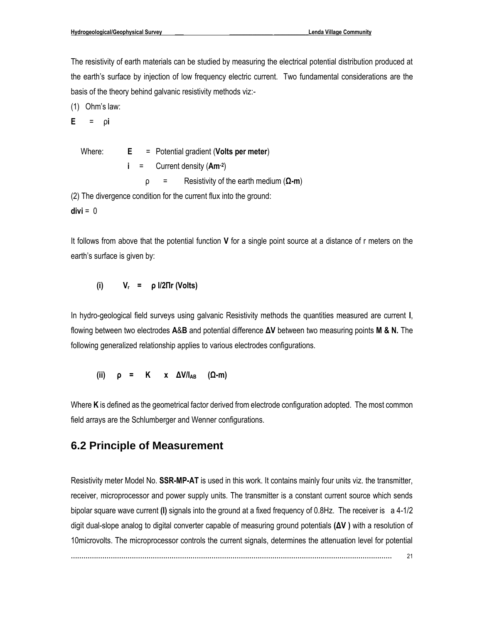The resistivity of earth materials can be studied by measuring the electrical potential distribution produced at the earth's surface by injection of low frequency electric current. Two fundamental considerations are the basis of the theory behind galvanic resistivity methods viz:-

(1) Ohm's law:

**E** = ρ**i**

 Where: **E** = Potential gradient (**Volts per meter**) **i** = Current density (**Am-2** ) ρ = Resistivity of the earth medium (**Ω-m**) (2) The divergence condition for the current flux into the ground:  $divi = 0$ 

It follows from above that the potential function **V** for a single point source at a distance of r meters on the earth's surface is given by:

$$
(i) \qquad V_r = \rho I/2 \Pi r (Volts)
$$

In hydro-geological field surveys using galvanic Resistivity methods the quantities measured are current **I**, flowing between two electrodes **A**&**B** and potential difference **ΔV** between two measuring points **M & N.** The following generalized relationship applies to various electrodes configurations.

 **(ii) ρ = K x ΔV/IAB (Ω-m)**

Where **K** is defined as the geometrical factor derived from electrode configuration adopted. The most common field arrays are the Schlumberger and Wenner configurations.

### <span id="page-20-0"></span>**6.2 Principle of Measurement**

Resistivity meter Model No. **SSR-MP-AT** is used in this work. It contains mainly four units viz. the transmitter, receiver, microprocessor and power supply units. The transmitter is a constant current source which sends bipolar square wave current **(I)** signals into the ground at a fixed frequency of 0.8Hz. The receiver is a 4-1/2 digit dual-slope analog to digital converter capable of measuring ground potentials **(ΔV )** with a resolution of 10microvolts. The microprocessor controls the current signals, determines the attenuation level for potential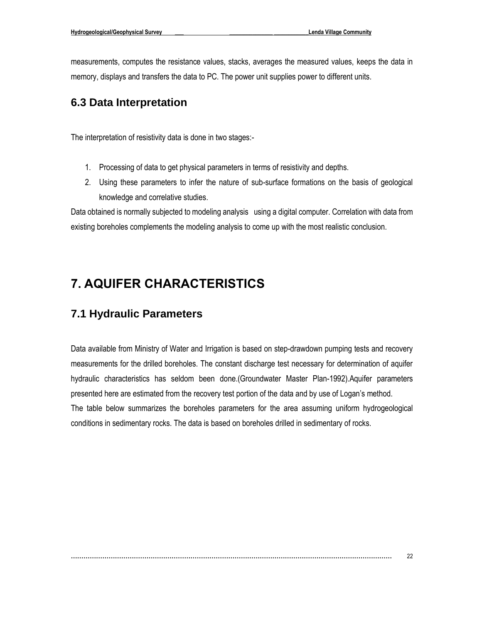measurements, computes the resistance values, stacks, averages the measured values, keeps the data in memory, displays and transfers the data to PC. The power unit supplies power to different units.

### <span id="page-21-0"></span>**6.3 Data Interpretation**

The interpretation of resistivity data is done in two stages:-

- 1. Processing of data to get physical parameters in terms of resistivity and depths.
- 2. Using these parameters to infer the nature of sub-surface formations on the basis of geological knowledge and correlative studies.

Data obtained is normally subjected to modeling analysis using a digital computer. Correlation with data from existing boreholes complements the modeling analysis to come up with the most realistic conclusion.

## <span id="page-21-1"></span>**7. AQUIFER CHARACTERISTICS**

### <span id="page-21-2"></span>**7.1 Hydraulic Parameters**

Data available from Ministry of Water and Irrigation is based on step-drawdown pumping tests and recovery measurements for the drilled boreholes. The constant discharge test necessary for determination of aquifer hydraulic characteristics has seldom been done.(Groundwater Master Plan-1992).Aquifer parameters presented here are estimated from the recovery test portion of the data and by use of Logan's method. The table below summarizes the boreholes parameters for the area assuming uniform hydrogeological conditions in sedimentary rocks. The data is based on boreholes drilled in sedimentary of rocks.

```
……………………………………………………………………………………………………………………………………… 22
```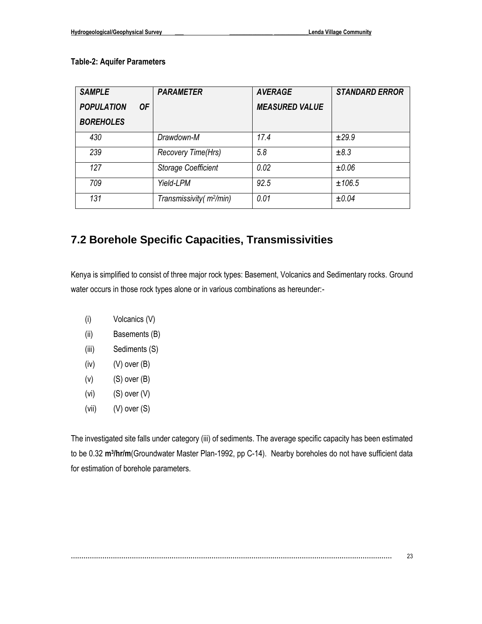#### **Table-2: Aquifer Parameters**

| <b>SAMPLE</b>     |    | <b>PARAMETER</b>                     | <b>AVERAGE</b>        | <b>STANDARD ERROR</b> |
|-------------------|----|--------------------------------------|-----------------------|-----------------------|
| <b>POPULATION</b> | 0F |                                      | <b>MEASURED VALUE</b> |                       |
| <b>BOREHOLES</b>  |    |                                      |                       |                       |
| 430               |    | Drawdown-M                           | 17.4                  | ±29.9                 |
| 239               |    | Recovery Time(Hrs)                   | 5.8                   | ±8.3                  |
| 127               |    | <b>Storage Coefficient</b>           | 0.02                  | ±0.06                 |
| 709               |    | Yield-LPM                            | 92.5                  | ±106.5                |
| 131               |    | Transmissivity (m <sup>2</sup> /min) | 0.01                  | ±0.04                 |

### <span id="page-22-0"></span>**7.2 Borehole Specific Capacities, Transmissivities**

Kenya is simplified to consist of three major rock types: Basement, Volcanics and Sedimentary rocks. Ground water occurs in those rock types alone or in various combinations as hereunder:-

- (i) Volcanics (V)
- (ii) Basements (B)
- (iii) Sediments (S)
- $(iv)$  (V) over  $(B)$
- $(v)$  (S) over  $(B)$
- $(vi)$   $(S)$  over  $(V)$
- (vii) (V) over (S)

The investigated site falls under category (iii) of sediments. The average specific capacity has been estimated to be 0.32 m<sup>3</sup>/hr/m(Groundwater Master Plan-1992, pp C-14). Nearby boreholes do not have sufficient data for estimation of borehole parameters.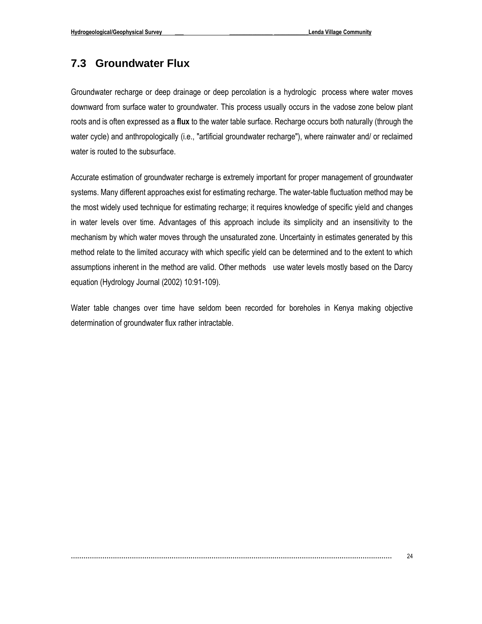### <span id="page-23-0"></span>**7.3 Groundwater Flux**

Groundwater recharge or deep drainage or deep percolation is a hydrologic process where water moves downward from surface water to groundwater. This process usually occurs in the vadose zone below plant roots and is often expressed as a **flux** to the water table surface. Recharge occurs both naturally (through the water cycle) and anthropologically (i.e., "artificial groundwater recharge"), where rainwater and/ or reclaimed water is routed to the subsurface.

Accurate estimation of groundwater recharge is extremely important for proper management of groundwater systems. Many different approaches exist for estimating recharge. The water-table fluctuation method may be the most widely used technique for estimating recharge; it requires knowledge of specific yield and changes in water levels over time. Advantages of this approach include its simplicity and an insensitivity to the mechanism by which water moves through the unsaturated zone. Uncertainty in estimates generated by this method relate to the limited accuracy with which specific yield can be determined and to the extent to which assumptions inherent in the method are valid. Other methods use water levels mostly based on the Darcy equation (Hydrology Journal (2002) 10:91-109).

Water table changes over time have seldom been recorded for boreholes in Kenya making objective determination of groundwater flux rather intractable.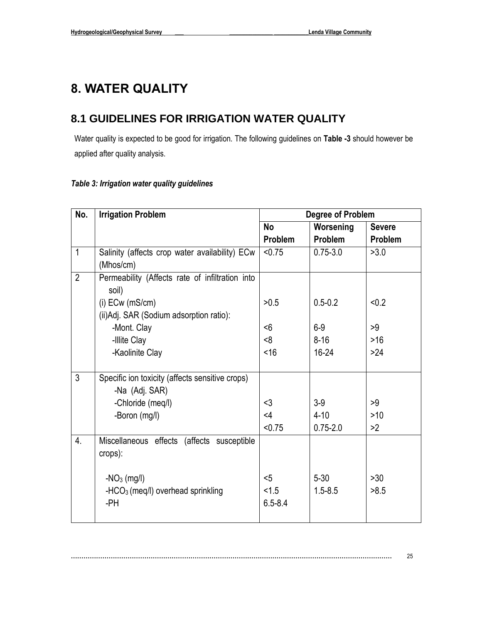## <span id="page-24-0"></span>**8. WATER QUALITY**

### <span id="page-24-1"></span>**8.1 GUIDELINES FOR IRRIGATION WATER QUALITY**

Water quality is expected to be good for irrigation. The following guidelines on **Table -3** should however be applied after quality analysis.

### *Table 3: Irrigation water quality guidelines*

| No.              | <b>Irrigation Problem</b>                       | <b>Degree of Problem</b> |              |                |
|------------------|-------------------------------------------------|--------------------------|--------------|----------------|
|                  |                                                 | <b>No</b>                | Worsening    | <b>Severe</b>  |
|                  |                                                 | <b>Problem</b>           | Problem      | <b>Problem</b> |
| $\mathbf{1}$     | Salinity (affects crop water availability) ECw  | < 0.75                   | $0.75 - 3.0$ | >3.0           |
|                  | (Mhos/cm)                                       |                          |              |                |
| $\overline{2}$   | Permeability (Affects rate of infiltration into |                          |              |                |
|                  | soil)                                           |                          |              |                |
|                  | $(i)$ ECw (mS/cm)                               | >0.5                     | $0.5 - 0.2$  | < 0.2          |
|                  | (ii) Adj. SAR (Sodium adsorption ratio):        |                          |              |                |
|                  | -Mont. Clay                                     | $6$                      | $6-9$        | >9             |
|                  | -Illite Clay                                    | <8                       | $8 - 16$     | $>16$          |
|                  | -Kaolinite Clay                                 | <16                      | $16 - 24$    | $>24$          |
|                  |                                                 |                          |              |                |
| 3                | Specific ion toxicity (affects sensitive crops) |                          |              |                |
|                  | -Na (Adj. SAR)                                  |                          |              |                |
|                  | -Chloride (meq/l)                               | $3$                      | $3-9$        | >9             |
|                  | -Boron (mg/l)                                   | $<$ 4                    | $4 - 10$     | $>10$          |
|                  |                                                 | < 0.75                   | $0.75 - 2.0$ | >2             |
| $\overline{4}$ . | Miscellaneous effects (affects susceptible      |                          |              |                |
|                  | crops):                                         |                          |              |                |
|                  |                                                 |                          |              |                |
|                  | $-NO3$ (mg/l)                                   | $5$                      | $5 - 30$     | $>30$          |
|                  | -HCO <sub>3</sub> (meg/l) overhead sprinkling   | < 1.5                    | $1.5 - 8.5$  | >8.5           |
|                  | -PH                                             | $6.5 - 8.4$              |              |                |
|                  |                                                 |                          |              |                |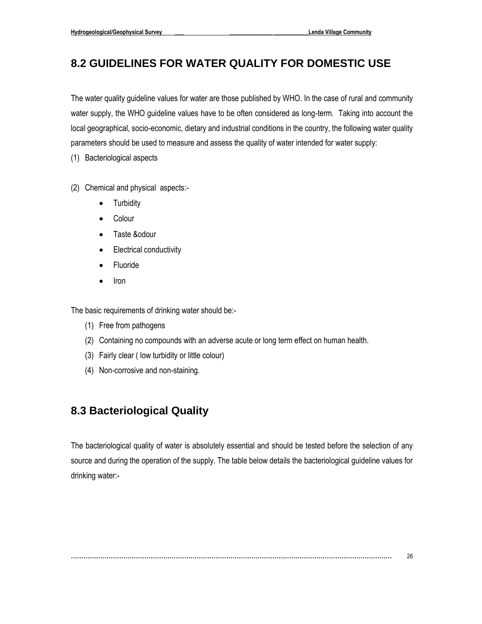### <span id="page-25-0"></span>**8.2 GUIDELINES FOR WATER QUALITY FOR DOMESTIC USE**

The water quality guideline values for water are those published by WHO. In the case of rural and community water supply, the WHO guideline values have to be often considered as long-term. Taking into account the local geographical, socio-economic, dietary and industrial conditions in the country, the following water quality parameters should be used to measure and assess the quality of water intended for water supply:

(1) Bacteriological aspects

- (2) Chemical and physical aspects:-
	- Turbidity
	- Colour
	- Taste &odour
	- Electrical conductivity
	- Fluoride
	- Iron

The basic requirements of drinking water should be:-

- (1) Free from pathogens
- (2) Containing no compounds with an adverse acute or long term effect on human health.
- (3) Fairly clear ( low turbidity or little colour)
- (4) Non-corrosive and non-staining.

### <span id="page-25-1"></span>**8.3 Bacteriological Quality**

The bacteriological quality of water is absolutely essential and should be tested before the selection of any source and during the operation of the supply. The table below details the bacteriological guideline values for drinking water:-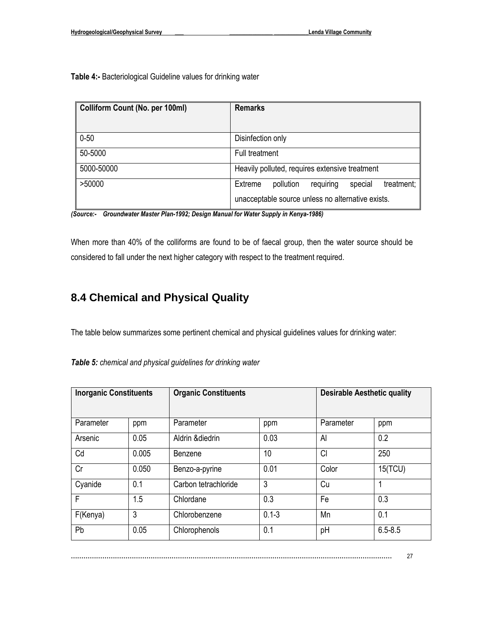**Table 4:-** Bacteriological Guideline values for drinking water

| Colliform Count (No. per 100ml) | <b>Remarks</b>                                             |
|---------------------------------|------------------------------------------------------------|
| $0 - 50$                        | Disinfection only                                          |
| 50-5000                         | Full treatment                                             |
| 5000-50000                      | Heavily polluted, requires extensive treatment             |
| >50000                          | requiring<br>special<br>Extreme<br>pollution<br>treatment; |
|                                 | unacceptable source unless no alternative exists.          |

*(Source:- Groundwater Master Plan-1992; Design Manual for Water Supply in Kenya-1986)* 

When more than 40% of the colliforms are found to be of faecal group, then the water source should be considered to fall under the next higher category with respect to the treatment required.

### <span id="page-26-0"></span>**8.4 Chemical and Physical Quality**

The table below summarizes some pertinent chemical and physical guidelines values for drinking water:

| <b>Inorganic Constituents</b> |       | <b>Organic Constituents</b> |           |           | <b>Desirable Aesthetic quality</b> |  |
|-------------------------------|-------|-----------------------------|-----------|-----------|------------------------------------|--|
| Parameter                     | ppm   | Parameter                   | ppm       | Parameter | ppm                                |  |
| Arsenic                       | 0.05  | Aldrin & diedrin            | 0.03      | Al        | 0.2                                |  |
| Cd                            | 0.005 | Benzene                     | 10        | Cl        | 250                                |  |
| Cr                            | 0.050 | Benzo-a-pyrine              | 0.01      | Color     | 15(TCU)                            |  |
| Cyanide                       | 0.1   | Carbon tetrachloride        | 3         | Cu        |                                    |  |
| F                             | 1.5   | Chlordane                   | 0.3       | Fe        | 0.3                                |  |
| F(Kenya)                      | 3     | Chlorobenzene               | $0.1 - 3$ | Mn        | 0.1                                |  |
| Pb                            | 0.05  | Chlorophenols               | 0.1       | pH        | $6.5 - 8.5$                        |  |

*Table 5: chemical and physical guidelines for drinking water*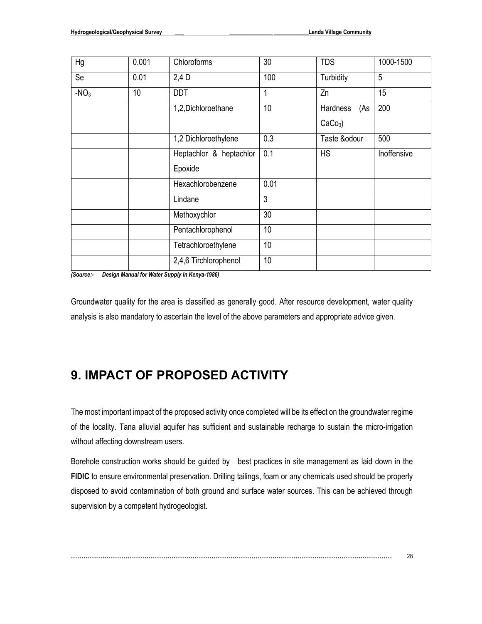| Hg     | 0.001 | Chloroforms                 | 30   | <b>TDS</b>      |             |
|--------|-------|-----------------------------|------|-----------------|-------------|
| Se     | 0.01  | 100<br>$2,4$ D<br>Turbidity |      | 5               |             |
| $-NO3$ | 10    | <b>DDT</b>                  | 1    | Zn              | 15          |
|        |       | 1,2,Dichloroethane          | 10   | Hardness<br>(As | 200         |
|        |       |                             |      | $CaCo3$ )       |             |
|        |       | 1,2 Dichloroethylene        | 0.3  | Taste &odour    | 500         |
|        |       | Heptachlor & heptachlor     | 0.1  | <b>HS</b>       | Inoffensive |
|        |       | Epoxide                     |      |                 |             |
|        |       | Hexachlorobenzene           | 0.01 |                 |             |
|        |       | Lindane                     | 3    |                 |             |
|        |       | Methoxychlor                | 30   |                 |             |
|        |       | Pentachlorophenol           | 10   |                 |             |
|        |       | Tetrachloroethylene         | 10   |                 |             |
|        |       | 2,4,6 Tirchlorophenol       | 10   |                 |             |

*(Source:- Design Manual for Water Supply in Kenya-1986)* 

Groundwater quality for the area is classified as generally good. After resource development, water quality analysis is also mandatory to ascertain the level of the above parameters and appropriate advice given.

## <span id="page-27-0"></span>**9. IMPACT OF PROPOSED ACTIVITY**

The most important impact of the proposed activity once completed will be its effect on the groundwater regime of the locality. Tana alluvial aquifer has sufficient and sustainable recharge to sustain the micro-irrigation without affecting downstream users.

Borehole construction works should be guided by best practices in site management as laid down in the **FIDIC** to ensure environmental preservation. Drilling tailings, foam or any chemicals used should be properly disposed to avoid contamination of both ground and surface water sources. This can be achieved through supervision by a competent hydrogeologist.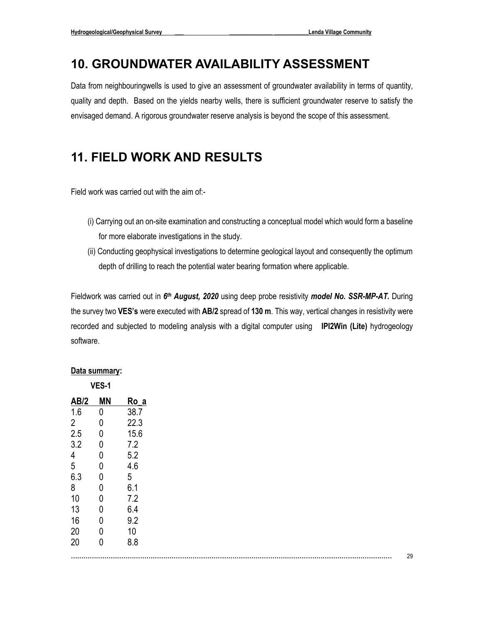### <span id="page-28-0"></span>**10. GROUNDWATER AVAILABILITY ASSESSMENT**

Data from neighbouringwells is used to give an assessment of groundwater availability in terms of quantity, quality and depth. Based on the yields nearby wells, there is sufficient groundwater reserve to satisfy the envisaged demand. A rigorous groundwater reserve analysis is beyond the scope of this assessment.

## **11. FIELD WORK AND RESULTS**

Field work was carried out with the aim of:-

- (i) Carrying out an on-site examination and constructing a conceptual model which would form a baseline for more elaborate investigations in the study.
- (ii) Conducting geophysical investigations to determine geological layout and consequently the optimum depth of drilling to reach the potential water bearing formation where applicable.

Fieldwork was carried out in 6<sup>th</sup> August, 2020 using deep probe resistivity *model No. SSR-MP-AT.* During the survey two **VES's** were executed with **AB/2** spread of **130 m**. This way, vertical changes in resistivity were recorded and subjected to modeling analysis with a digital computer using **IPI2Win (Lite)** hydrogeology software.

#### **Data summary: VES-1**

| AB/2           | MΝ | Ro_a |
|----------------|----|------|
| 1.6            | 0  | 38.7 |
| $\overline{2}$ | 0  | 22.3 |
| 2.5            | 0  | 15.6 |
| 3.2            | 0  | 7.2  |
| 4              | 0  | 5.2  |
| 5              | 0  | 4.6  |
| 6.3            | 0  | 5    |
| 8              | 0  | 6.1  |
| 10             | 0  | 7.2  |
| 13             | 0  | 6.4  |
| 16             | 0  | 9.2  |
| 20             | 0  | 10   |
| 20             | 0  | 8.8  |
|                |    |      |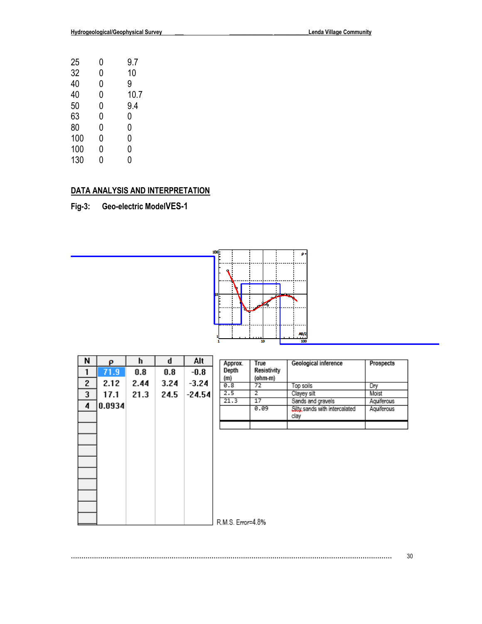| 25  | 0 | 9.7  |
|-----|---|------|
| 32  | 0 | 10   |
| 40  | 0 | 9    |
| 40  | 0 | 10.7 |
| 50  | 0 | 9.4  |
| 63  | 0 | 0    |
| 80  | 0 | 0    |
| 100 | 0 | 0    |
| 100 | 0 | 0    |
| 130 | N | N    |

### **DATA ANALYSIS AND INTERPRETATION**

**Fig-3: Geo-electric ModelVES-1**



| N | ρ      | h    | q       | Alt      | Approx.           | True          | Geological inference                               | Prospects                |
|---|--------|------|---------|----------|-------------------|---------------|----------------------------------------------------|--------------------------|
| 1 | 71.9   | 0.8  | $0.8\,$ | $-0.8$   | Depth             | Resistivity   |                                                    |                          |
| 2 | 2.12   | 2.44 | 3.24    | $-3.24$  | (m)<br>0.8        | (ohm-m)<br>72 | Top soils                                          | Dry                      |
| 3 | 17.1   | 21.3 | 24.5    | $-24.54$ | 2.5               | 2             | Clayey silt                                        | Moist                    |
| 4 | 0.0934 |      |         |          | 21.3              | 17<br>0.09    | Sands and gravels<br>Silty sands with intercalated | Aquiferous<br>Aquiferous |
|   |        |      |         |          |                   |               | clay                                               |                          |
|   |        |      |         |          |                   |               |                                                    |                          |
|   |        |      |         |          |                   |               |                                                    |                          |
|   |        |      |         |          |                   |               |                                                    |                          |
|   |        |      |         |          |                   |               |                                                    |                          |
|   |        |      |         |          |                   |               |                                                    |                          |
|   |        |      |         |          |                   |               |                                                    |                          |
|   |        |      |         |          |                   |               |                                                    |                          |
|   |        |      |         |          |                   |               |                                                    |                          |
|   |        |      |         |          |                   |               |                                                    |                          |
|   |        |      |         |          | R.M.S. Error=4.8% |               |                                                    |                          |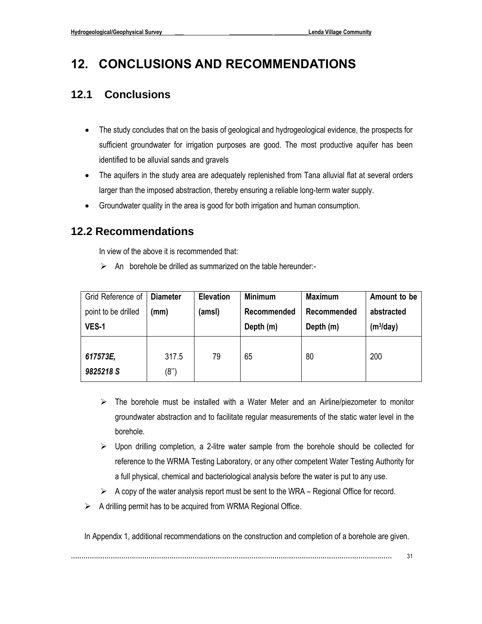## <span id="page-30-0"></span>**12. CONCLUSIONS AND RECOMMENDATIONS**

### <span id="page-30-1"></span>**12.1 Conclusions**

- The study concludes that on the basis of geological and hydrogeological evidence, the prospects for sufficient groundwater for irrigation purposes are good. The most productive aquifer has been identified to be alluvial sands and gravels
- The aquifers in the study area are adequately replenished from Tana alluvial flat at several orders larger than the imposed abstraction, thereby ensuring a reliable long-term water supply.
- Groundwater quality in the area is good for both irrigation and human consumption.

### <span id="page-30-2"></span>**12.2 Recommendations**

In view of the above it is recommended that:

 $\triangleright$  An borehole be drilled as summarized on the table hereunder:-

| Grid Reference of     | <b>Diameter</b> | <b>Elevation</b> | <b>Minimum</b> | <b>Maximum</b> | Amount to be |
|-----------------------|-----------------|------------------|----------------|----------------|--------------|
| point to be drilled   | (mm)            | (amsl)           | Recommended    | Recommended    | abstracted   |
| <b>VES-1</b>          |                 |                  | Depth (m)      | Depth (m)      | $(m^3/day)$  |
| 617573E,<br>9825218 S | 317.5<br>(8")   | 79               | 65             | 80             | 200          |

- $\triangleright$  The borehole must be installed with a Water Meter and an Airline/piezometer to monitor groundwater abstraction and to facilitate regular measurements of the static water level in the borehole.
- ➢ Upon drilling completion, a 2-litre water sample from the borehole should be collected for reference to the WRMA Testing Laboratory, or any other competent Water Testing Authority for a full physical, chemical and bacteriological analysis before the water is put to any use.
- $\triangleright$  A copy of the water analysis report must be sent to the WRA Regional Office for record.
- $\triangleright$  A drilling permit has to be acquired from WRMA Regional Office.

In Appendix 1, additional recommendations on the construction and completion of a borehole are given.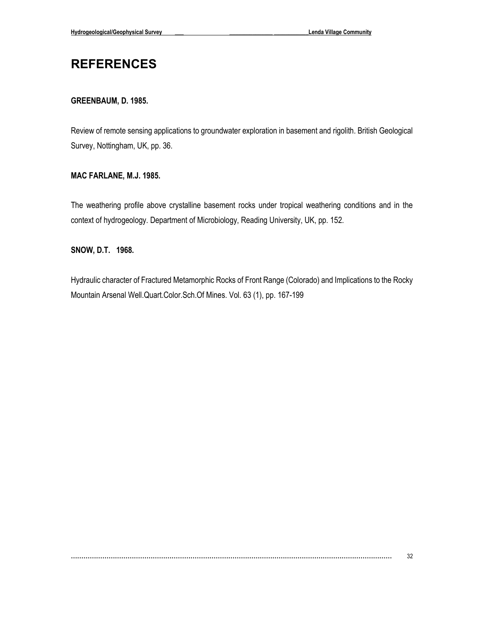## <span id="page-31-0"></span>**REFERENCES**

#### **GREENBAUM, D. 1985.**

Review of remote sensing applications to groundwater exploration in basement and rigolith. British Geological Survey, Nottingham, UK, pp. 36.

#### **MAC FARLANE, M.J. 1985.**

The weathering profile above crystalline basement rocks under tropical weathering conditions and in the context of hydrogeology. Department of Microbiology, Reading University, UK, pp. 152.

#### **SNOW, D.T. 1968.**

Hydraulic character of Fractured Metamorphic Rocks of Front Range (Colorado) and Implications to the Rocky Mountain Arsenal Well.Quart.Color.Sch.Of Mines. Vol. 63 (1), pp. 167-199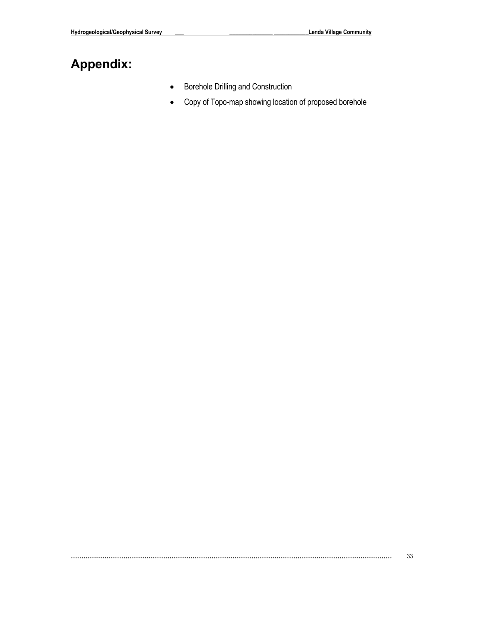# <span id="page-32-0"></span>**Appendix:**

- Borehole Drilling and Construction
- Copy of Topo-map showing location of proposed borehole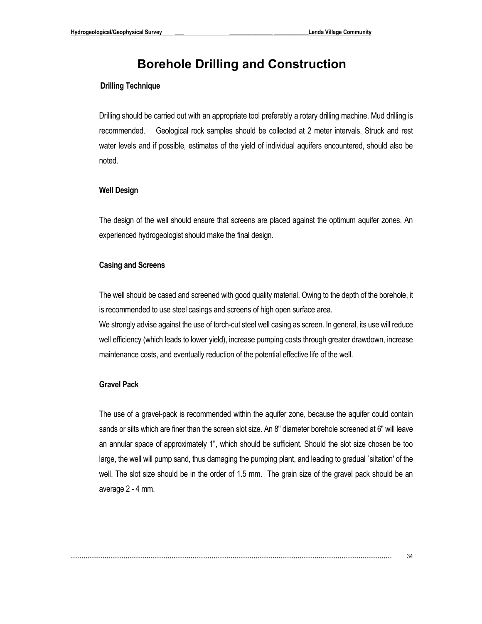### **Borehole Drilling and Construction**

#### <span id="page-33-0"></span>**Drilling Technique**

Drilling should be carried out with an appropriate tool preferably a rotary drilling machine. Mud drilling is recommended. Geological rock samples should be collected at 2 meter intervals. Struck and rest water levels and if possible, estimates of the yield of individual aquifers encountered, should also be noted.

#### **Well Design**

The design of the well should ensure that screens are placed against the optimum aquifer zones. An experienced hydrogeologist should make the final design.

#### **Casing and Screens**

The well should be cased and screened with good quality material. Owing to the depth of the borehole, it is recommended to use steel casings and screens of high open surface area.

We strongly advise against the use of torch-cut steel well casing as screen. In general, its use will reduce well efficiency (which leads to lower yield), increase pumping costs through greater drawdown, increase maintenance costs, and eventually reduction of the potential effective life of the well.

#### **Gravel Pack**

The use of a gravel-pack is recommended within the aquifer zone, because the aquifer could contain sands or silts which are finer than the screen slot size. An 8" diameter borehole screened at 6" will leave an annular space of approximately 1", which should be sufficient. Should the slot size chosen be too large, the well will pump sand, thus damaging the pumping plant, and leading to gradual `siltation' of the well. The slot size should be in the order of 1.5 mm. The grain size of the gravel pack should be an average 2 - 4 mm.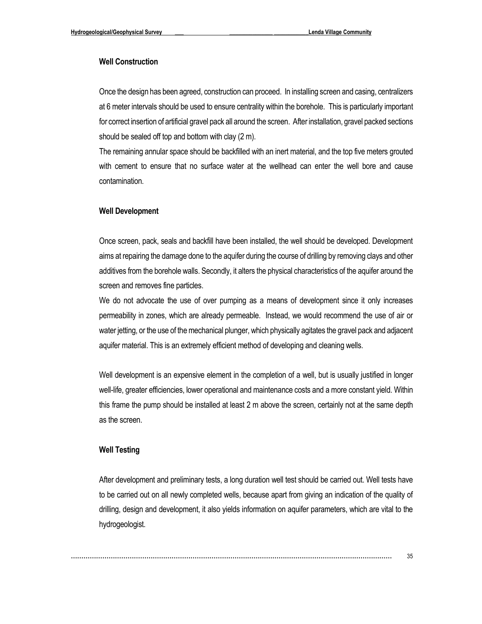#### **Well Construction**

Once the design has been agreed, construction can proceed. In installing screen and casing, centralizers at 6 meter intervals should be used to ensure centrality within the borehole. This is particularly important for correct insertion of artificial gravel pack all around the screen. After installation, gravel packed sections should be sealed off top and bottom with clay (2 m).

The remaining annular space should be backfilled with an inert material, and the top five meters grouted with cement to ensure that no surface water at the wellhead can enter the well bore and cause contamination.

#### **Well Development**

Once screen, pack, seals and backfill have been installed, the well should be developed. Development aims at repairing the damage done to the aquifer during the course of drilling by removing clays and other additives from the borehole walls. Secondly, it alters the physical characteristics of the aquifer around the screen and removes fine particles.

We do not advocate the use of over pumping as a means of development since it only increases permeability in zones, which are already permeable. Instead, we would recommend the use of air or water jetting, or the use of the mechanical plunger, which physically agitates the gravel pack and adjacent aquifer material. This is an extremely efficient method of developing and cleaning wells.

Well development is an expensive element in the completion of a well, but is usually justified in longer well-life, greater efficiencies, lower operational and maintenance costs and a more constant yield. Within this frame the pump should be installed at least 2 m above the screen, certainly not at the same depth as the screen.

#### **Well Testing**

After development and preliminary tests, a long duration well test should be carried out. Well tests have to be carried out on all newly completed wells, because apart from giving an indication of the quality of drilling, design and development, it also yields information on aquifer parameters, which are vital to the hydrogeologist.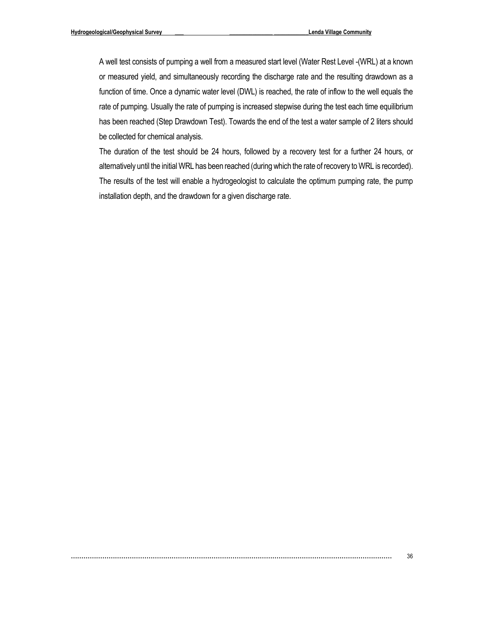A well test consists of pumping a well from a measured start level (Water Rest Level -(WRL) at a known or measured yield, and simultaneously recording the discharge rate and the resulting drawdown as a function of time. Once a dynamic water level (DWL) is reached, the rate of inflow to the well equals the rate of pumping. Usually the rate of pumping is increased stepwise during the test each time equilibrium has been reached (Step Drawdown Test). Towards the end of the test a water sample of 2 liters should be collected for chemical analysis.

The duration of the test should be 24 hours, followed by a recovery test for a further 24 hours, or alternatively until the initial WRL has been reached (during which the rate of recovery to WRL is recorded). The results of the test will enable a hydrogeologist to calculate the optimum pumping rate, the pump installation depth, and the drawdown for a given discharge rate.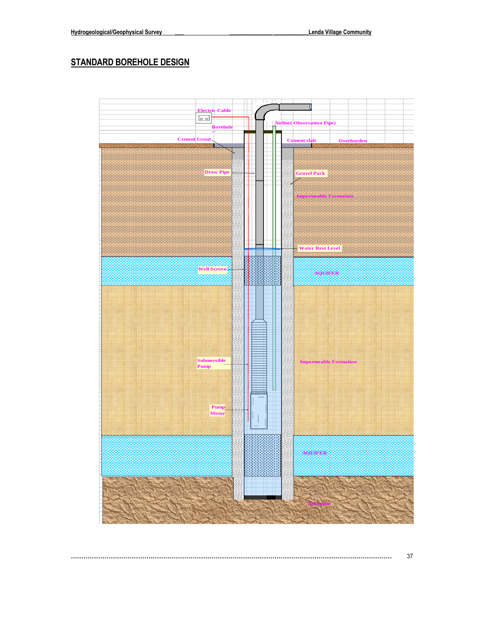### **STANDARD BOREHOLE DESIGN**